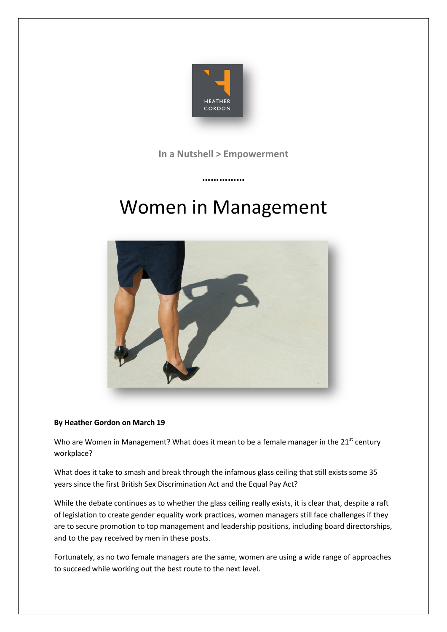

**In a Nutshell > Empowerment**

**……………**

# Women in Management



# **By Heather Gordon on March 19**

Who are Women in Management? What does it mean to be a female manager in the  $21^{st}$  century workplace?

What does it take to smash and break through the infamous glass ceiling that still exists some 35 years since the first British Sex Discrimination Act and the Equal Pay Act?

While the debate continues as to whether the glass ceiling really exists, it is clear that, despite a raft of legislation to create gender equality work practices, women managers still face challenges if they are to secure promotion to top management and leadership positions, including board directorships, and to the pay received by men in these posts.

Fortunately, as no two female managers are the same, women are using a wide range of approaches to succeed while working out the best route to the next level.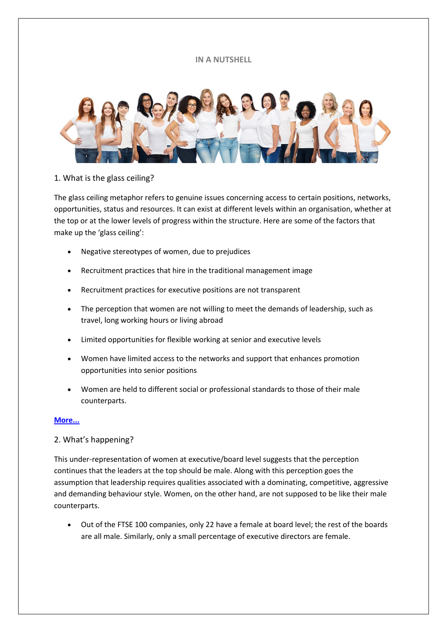#### **IN A NUTSHELL**



# 1. What is the glass ceiling?

The glass ceiling metaphor refers to genuine issues concerning access to certain positions, networks, opportunities, status and resources. It can exist at different levels within an organisation, whether at the top or at the lower levels of progress within the structure. Here are some of the factors that make up the 'glass ceiling':

- Negative stereotypes of women, due to prejudices
- Recruitment practices that hire in the traditional management image
- Recruitment practices for executive positions are not transparent
- The perception that women are not willing to meet the demands of leadership, such as travel, long working hours or living abroad
- Limited opportunities for flexible working at senior and executive levels
- Women have limited access to the networks and support that enhances promotion opportunities into senior positions
- Women are held to different social or professional standards to those of their male counterparts.

#### **[More...](https://heathergordon.scot/women-in-managment/)**

# 2. What's happening?

This under-representation of women at executive/board level suggests that the perception continues that the leaders at the top should be male. Along with this perception goes the assumption that leadership requires qualities associated with a dominating, competitive, aggressive and demanding behaviour style. Women, on the other hand, are not supposed to be like their male counterparts.

 Out of the FTSE 100 companies, only 22 have a female at board level; the rest of the boards are all male. Similarly, only a small percentage of executive directors are female.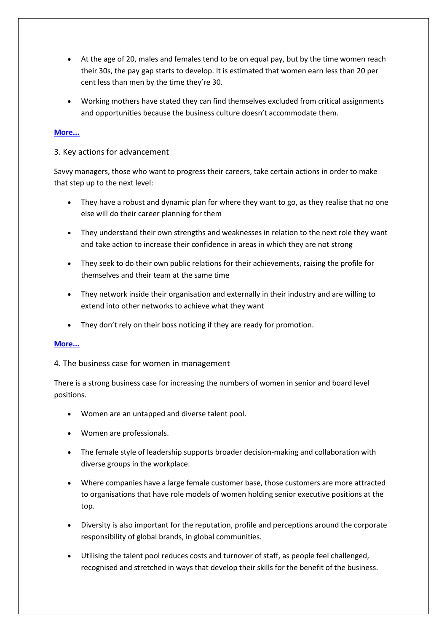- At the age of 20, males and females tend to be on equal pay, but by the time women reach their 30s, the pay gap starts to develop. It is estimated that women earn less than 20 per cent less than men by the time they're 30.
- Working mothers have stated they can find themselves excluded from critical assignments and opportunities because the business culture doesn't accommodate them.

## 3. Key actions for advancement

Savvy managers, those who want to progress their careers, take certain actions in order to make that step up to the next level:

- They have a robust and dynamic plan for where they want to go, as they realise that no one else will do their career planning for them
- They understand their own strengths and weaknesses in relation to the next role they want and take action to increase their confidence in areas in which they are not strong
- They seek to do their own public relations for their achievements, raising the profile for themselves and their team at the same time
- They network inside their organisation and externally in their industry and are willing to extend into other networks to achieve what they want
- They don't rely on their boss noticing if they are ready for promotion.

#### **[More...](https://heathergordon.scot/women-in-managment/)**

# 4. The business case for women in management

There is a strong business case for increasing the numbers of women in senior and board level positions.

- Women are an untapped and diverse talent pool.
- Women are professionals.
- The female style of leadership supports broader decision-making and collaboration with diverse groups in the workplace.
- Where companies have a large female customer base, those customers are more attracted to organisations that have role models of women holding senior executive positions at the top.
- Diversity is also important for the reputation, profile and perceptions around the corporate responsibility of global brands, in global communities.
- Utilising the talent pool reduces costs and turnover of staff, as people feel challenged, recognised and stretched in ways that develop their skills for the benefit of the business.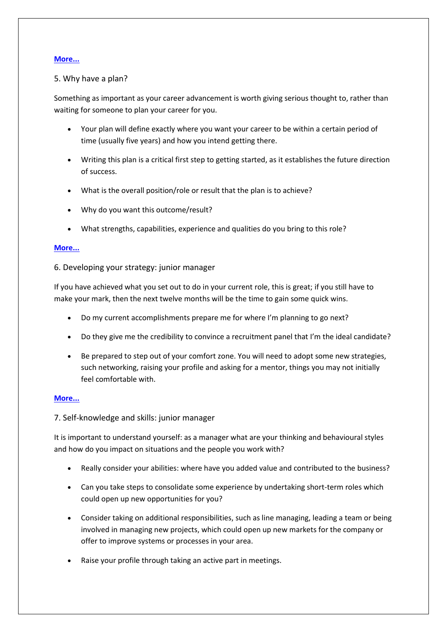## 5. Why have a plan?

Something as important as your career advancement is worth giving serious thought to, rather than waiting for someone to plan your career for you.

- Your plan will define exactly where you want your career to be within a certain period of time (usually five years) and how you intend getting there.
- Writing this plan is a critical first step to getting started, as it establishes the future direction of success.
- What is the overall position/role or result that the plan is to achieve?
- Why do you want this outcome/result?
- What strengths, capabilities, experience and qualities do you bring to this role?

### **[More...](https://heathergordon.scot/women-in-managment/)**

6. Developing your strategy: junior manager

If you have achieved what you set out to do in your current role, this is great; if you still have to make your mark, then the next twelve months will be the time to gain some quick wins.

- Do my current accomplishments prepare me for where I'm planning to go next?
- Do they give me the credibility to convince a recruitment panel that I'm the ideal candidate?
- Be prepared to step out of your comfort zone. You will need to adopt some new strategies, such networking, raising your profile and asking for a mentor, things you may not initially feel comfortable with.

#### **[More...](https://heathergordon.scot/women-in-managment/)**

7. Self-knowledge and skills: junior manager

It is important to understand yourself: as a manager what are your thinking and behavioural styles and how do you impact on situations and the people you work with?

- Really consider your abilities: where have you added value and contributed to the business?
- Can you take steps to consolidate some experience by undertaking short-term roles which could open up new opportunities for you?
- Consider taking on additional responsibilities, such as line managing, leading a team or being involved in managing new projects, which could open up new markets for the company or offer to improve systems or processes in your area.
- Raise your profile through taking an active part in meetings.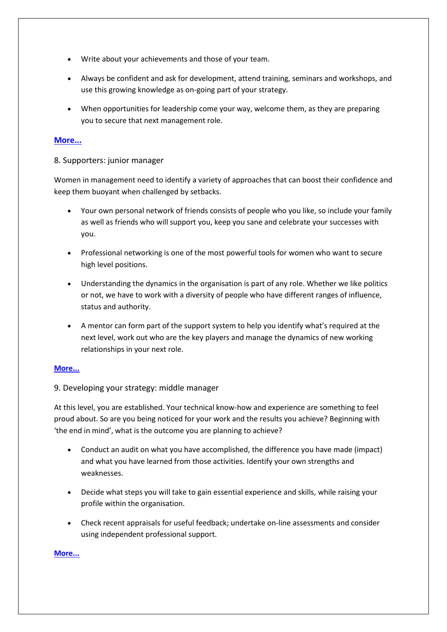- Write about your achievements and those of your team.
- Always be confident and ask for development, attend training, seminars and workshops, and use this growing knowledge as on-going part of your strategy.
- When opportunities for leadership come your way, welcome them, as they are preparing you to secure that next management role.

# 8. Supporters: junior manager

Women in management need to identify a variety of approaches that can boost their confidence and keep them buoyant when challenged by setbacks.

- Your own personal network of friends consists of people who you like, so include your family as well as friends who will support you, keep you sane and celebrate your successes with you.
- Professional networking is one of the most powerful tools for women who want to secure high level positions.
- Understanding the dynamics in the organisation is part of any role. Whether we like politics or not, we have to work with a diversity of people who have different ranges of influence, status and authority.
- A mentor can form part of the support system to help you identify what's required at the next level, work out who are the key players and manage the dynamics of new working relationships in your next role.

# **[More...](https://heathergordon.scot/women-in-managment/)**

# 9. Developing your strategy: middle manager

At this level, you are established. Your technical know-how and experience are something to feel proud about. So are you being noticed for your work and the results you achieve? Beginning with 'the end in mind', what is the outcome you are planning to achieve?

- Conduct an audit on what you have accomplished, the difference you have made (impact) and what you have learned from those activities. Identify your own strengths and weaknesses.
- Decide what steps you will take to gain essential experience and skills, while raising your profile within the organisation.
- Check recent appraisals for useful feedback; undertake on-line assessments and consider using independent professional support.

# **[More...](https://heathergordon.scot/women-in-managment/)**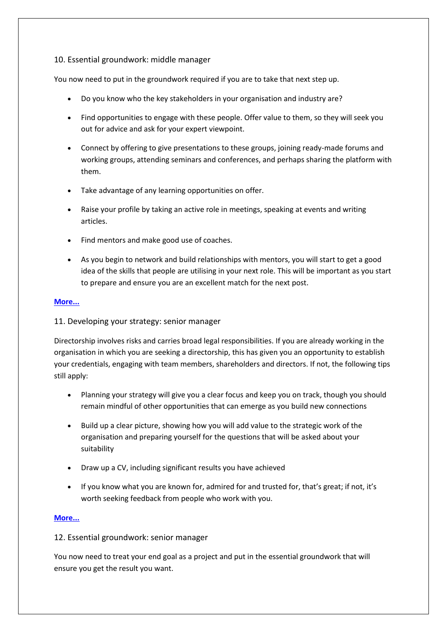# 10. Essential groundwork: middle manager

You now need to put in the groundwork required if you are to take that next step up.

- Do you know who the key stakeholders in your organisation and industry are?
- Find opportunities to engage with these people. Offer value to them, so they will seek you out for advice and ask for your expert viewpoint.
- Connect by offering to give presentations to these groups, joining ready-made forums and working groups, attending seminars and conferences, and perhaps sharing the platform with them.
- Take advantage of any learning opportunities on offer.
- Raise your profile by taking an active role in meetings, speaking at events and writing articles.
- Find mentors and make good use of coaches.
- As you begin to network and build relationships with mentors, you will start to get a good idea of the skills that people are utilising in your next role. This will be important as you start to prepare and ensure you are an excellent match for the next post.

# **[More...](https://heathergordon.scot/women-in-managment/)**

# 11. Developing your strategy: senior manager

Directorship involves risks and carries broad legal responsibilities. If you are already working in the organisation in which you are seeking a directorship, this has given you an opportunity to establish your credentials, engaging with team members, shareholders and directors. If not, the following tips still apply:

- Planning your strategy will give you a clear focus and keep you on track, though you should remain mindful of other opportunities that can emerge as you build new connections
- Build up a clear picture, showing how you will add value to the strategic work of the organisation and preparing yourself for the questions that will be asked about your suitability
- Draw up a CV, including significant results you have achieved
- If you know what you are known for, admired for and trusted for, that's great; if not, it's worth seeking feedback from people who work with you.

# **[More...](https://heathergordon.scot/women-in-managment/)**

# 12. Essential groundwork: senior manager

You now need to treat your end goal as a project and put in the essential groundwork that will ensure you get the result you want.